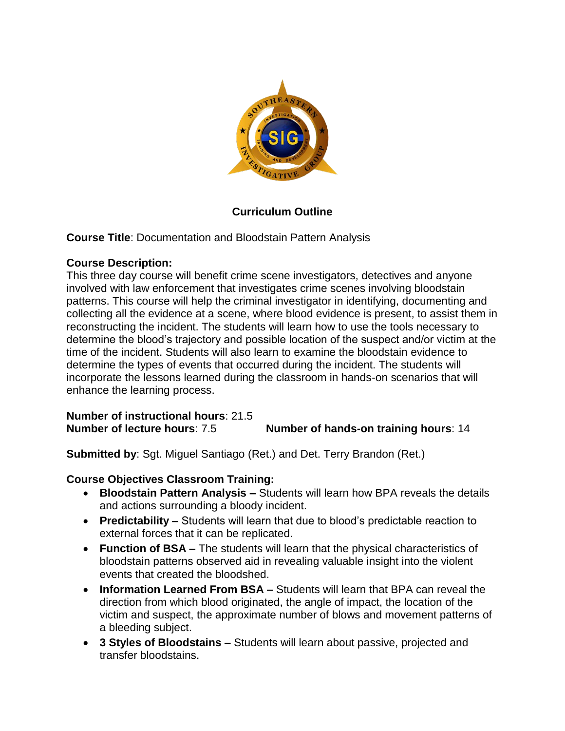

## **Curriculum Outline**

**Course Title**: Documentation and Bloodstain Pattern Analysis

## **Course Description:**

This three day course will benefit crime scene investigators, detectives and anyone involved with law enforcement that investigates crime scenes involving bloodstain patterns. This course will help the criminal investigator in identifying, documenting and collecting all the evidence at a scene, where blood evidence is present, to assist them in reconstructing the incident. The students will learn how to use the tools necessary to determine the blood's trajectory and possible location of the suspect and/or victim at the time of the incident. Students will also learn to examine the bloodstain evidence to determine the types of events that occurred during the incident. The students will incorporate the lessons learned during the classroom in hands-on scenarios that will enhance the learning process.

**Number of instructional hours**: 21.5 **Number of lecture hours**: 7.5 **Number of hands-on training hours**: 14

**Submitted by**: Sgt. Miguel Santiago (Ret.) and Det. Terry Brandon (Ret.)

## **Course Objectives Classroom Training:**

- **Bloodstain Pattern Analysis –** Students will learn how BPA reveals the details and actions surrounding a bloody incident.
- **Predictability –** Students will learn that due to blood's predictable reaction to external forces that it can be replicated.
- **Function of BSA –** The students will learn that the physical characteristics of bloodstain patterns observed aid in revealing valuable insight into the violent events that created the bloodshed.
- **Information Learned From BSA –** Students will learn that BPA can reveal the direction from which blood originated, the angle of impact, the location of the victim and suspect, the approximate number of blows and movement patterns of a bleeding subject.
- **3 Styles of Bloodstains –** Students will learn about passive, projected and transfer bloodstains.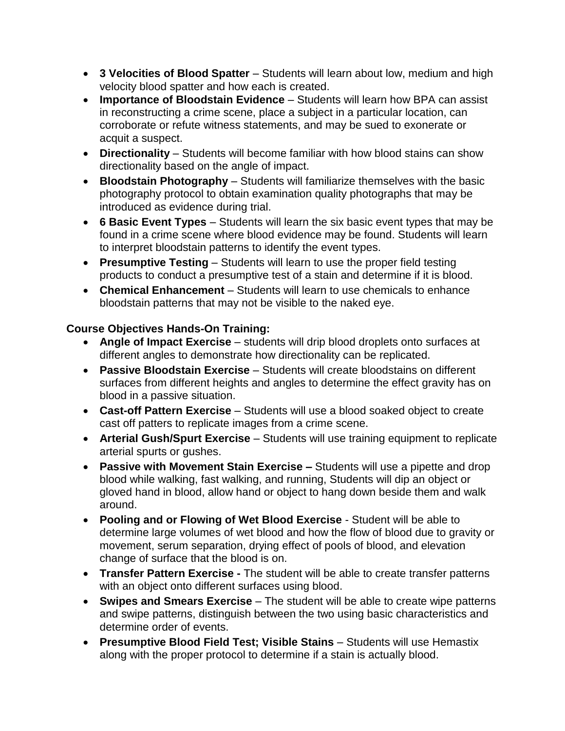- **3 Velocities of Blood Spatter**  Students will learn about low, medium and high velocity blood spatter and how each is created.
- **Importance of Bloodstain Evidence**  Students will learn how BPA can assist in reconstructing a crime scene, place a subject in a particular location, can corroborate or refute witness statements, and may be sued to exonerate or acquit a suspect.
- **Directionality**  Students will become familiar with how blood stains can show directionality based on the angle of impact.
- **Bloodstain Photography**  Students will familiarize themselves with the basic photography protocol to obtain examination quality photographs that may be introduced as evidence during trial.
- **6 Basic Event Types**  Students will learn the six basic event types that may be found in a crime scene where blood evidence may be found. Students will learn to interpret bloodstain patterns to identify the event types.
- **Presumptive Testing**  Students will learn to use the proper field testing products to conduct a presumptive test of a stain and determine if it is blood.
- **Chemical Enhancement**  Students will learn to use chemicals to enhance bloodstain patterns that may not be visible to the naked eye.

## **Course Objectives Hands-On Training:**

- **Angle of Impact Exercise** students will drip blood droplets onto surfaces at different angles to demonstrate how directionality can be replicated.
- **Passive Bloodstain Exercise**  Students will create bloodstains on different surfaces from different heights and angles to determine the effect gravity has on blood in a passive situation.
- **Cast-off Pattern Exercise** Students will use a blood soaked object to create cast off patters to replicate images from a crime scene.
- **Arterial Gush/Spurt Exercise** Students will use training equipment to replicate arterial spurts or gushes.
- **Passive with Movement Stain Exercise –** Students will use a pipette and drop blood while walking, fast walking, and running, Students will dip an object or gloved hand in blood, allow hand or object to hang down beside them and walk around.
- **Pooling and or Flowing of Wet Blood Exercise**  Student will be able to determine large volumes of wet blood and how the flow of blood due to gravity or movement, serum separation, drying effect of pools of blood, and elevation change of surface that the blood is on.
- **Transfer Pattern Exercise -** The student will be able to create transfer patterns with an object onto different surfaces using blood.
- **Swipes and Smears Exercise** The student will be able to create wipe patterns and swipe patterns, distinguish between the two using basic characteristics and determine order of events.
- **Presumptive Blood Field Test; Visible Stains** Students will use Hemastix along with the proper protocol to determine if a stain is actually blood.